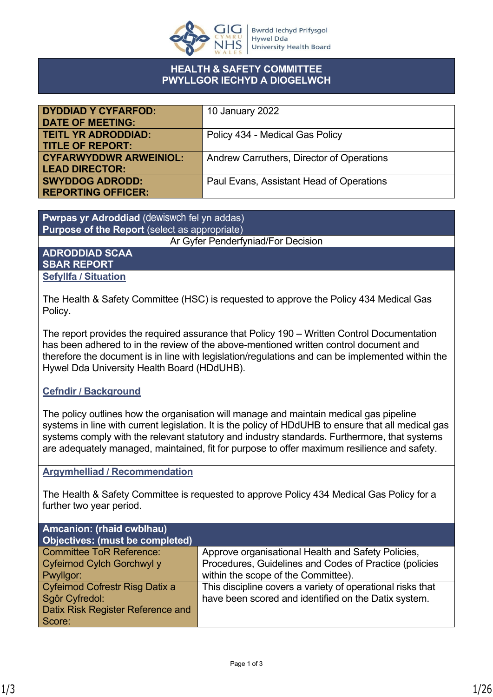

#### **HEALTH & SAFETY COMMITTEE PWYLLGOR IECHYD A DIOGELWCH**

| <b>DYDDIAD Y CYFARFOD:</b>    | 10 January 2022                           |
|-------------------------------|-------------------------------------------|
| <b>DATE OF MEETING:</b>       |                                           |
| <b>TEITL YR ADRODDIAD:</b>    | Policy 434 - Medical Gas Policy           |
| <b>TITLE OF REPORT:</b>       |                                           |
| <b>CYFARWYDDWR ARWEINIOL:</b> | Andrew Carruthers, Director of Operations |
| <b>LEAD DIRECTOR:</b>         |                                           |
| <b>SWYDDOG ADRODD:</b>        | Paul Evans, Assistant Head of Operations  |
| <b>REPORTING OFFICER:</b>     |                                           |

**Pwrpas yr Adroddiad** (dewiswch fel yn addas) **Purpose of the Report** (select as appropriate)

Ar Gyfer Penderfyniad/For Decision

#### **ADRODDIAD SCAA SBAR REPORT Sefyllfa / Situation**

The Health & Safety Committee (HSC) is requested to approve the Policy 434 Medical Gas Policy.

The report provides the required assurance that Policy 190 – Written Control Documentation has been adhered to in the review of the above-mentioned written control document and therefore the document is in line with legislation/regulations and can be implemented within the Hywel Dda University Health Board (HDdUHB).

#### **Cefndir / Background**

The policy outlines how the organisation will manage and maintain medical gas pipeline systems in line with current legislation. It is the policy of HDdUHB to ensure that all medical gas systems comply with the relevant statutory and industry standards. Furthermore, that systems are adequately managed, maintained, fit for purpose to offer maximum resilience and safety.

#### **Argymhelliad / Recommendation**

The Health & Safety Committee is requested to approve Policy 434 Medical Gas Policy for a further two year period.

| <b>Amcanion: (rhaid cwblhau)</b><br><b>Objectives: (must be completed)</b> |                                                            |
|----------------------------------------------------------------------------|------------------------------------------------------------|
| <b>Committee ToR Reference:</b>                                            | Approve organisational Health and Safety Policies,         |
| Cyfeirnod Cylch Gorchwyl y                                                 | Procedures, Guidelines and Codes of Practice (policies     |
| Pwyllgor:                                                                  | within the scope of the Committee).                        |
| Cyfeirnod Cofrestr Risg Datix a                                            | This discipline covers a variety of operational risks that |
| Sgôr Cyfredol:                                                             | have been scored and identified on the Datix system.       |
| Datix Risk Register Reference and                                          |                                                            |
| Score:                                                                     |                                                            |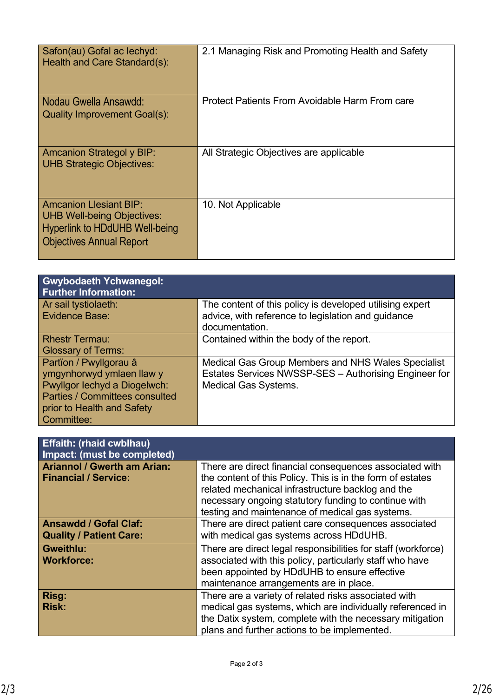| Safon(au) Gofal ac lechyd:<br>Health and Care Standard(s):                                                                                     | 2.1 Managing Risk and Promoting Health and Safety |
|------------------------------------------------------------------------------------------------------------------------------------------------|---------------------------------------------------|
| Nodau Gwella Ansawdd:<br><b>Quality Improvement Goal(s):</b>                                                                                   | Protect Patients From Avoidable Harm From care    |
| <b>Amcanion Strategol y BIP:</b><br><b>UHB Strategic Objectives:</b>                                                                           | All Strategic Objectives are applicable           |
| <b>Amcanion Llesiant BIP:</b><br><b>UHB Well-being Objectives:</b><br><b>Hyperlink to HDdUHB Well-being</b><br><b>Objectives Annual Report</b> | 10. Not Applicable                                |

| <b>Gwybodaeth Ychwanegol:</b><br><b>Further Information:</b> |                                                                      |
|--------------------------------------------------------------|----------------------------------------------------------------------|
| Ar sail tystiolaeth:                                         | The content of this policy is developed utilising expert             |
| Evidence Base:                                               | advice, with reference to legislation and guidance<br>documentation. |
| <b>Rhestr Termau:</b>                                        | Contained within the body of the report.                             |
| <b>Glossary of Terms:</b>                                    |                                                                      |
| Partïon / Pwyllgorau â                                       | Medical Gas Group Members and NHS Wales Specialist                   |
| ymgynhorwyd ymlaen llaw y                                    | Estates Services NWSSP-SES - Authorising Engineer for                |
| Pwyllgor lechyd a Diogelwch:                                 | <b>Medical Gas Systems.</b>                                          |
| <b>Parties / Committees consulted</b>                        |                                                                      |
| prior to Health and Safety                                   |                                                                      |
| Committee:                                                   |                                                                      |

| <b>Effaith: (rhaid cwblhau)</b><br>Impact: (must be completed)    |                                                                                                                                                                                                                                                                                       |
|-------------------------------------------------------------------|---------------------------------------------------------------------------------------------------------------------------------------------------------------------------------------------------------------------------------------------------------------------------------------|
| <b>Ariannol / Gwerth am Arian:</b><br><b>Financial / Service:</b> | There are direct financial consequences associated with<br>the content of this Policy. This is in the form of estates<br>related mechanical infrastructure backlog and the<br>necessary ongoing statutory funding to continue with<br>testing and maintenance of medical gas systems. |
| <b>Ansawdd / Gofal Claf:</b><br><b>Quality / Patient Care:</b>    | There are direct patient care consequences associated<br>with medical gas systems across HDdUHB.                                                                                                                                                                                      |
| <b>Gweithlu:</b><br><b>Workforce:</b>                             | There are direct legal responsibilities for staff (workforce)<br>associated with this policy, particularly staff who have<br>been appointed by HDdUHB to ensure effective<br>maintenance arrangements are in place.                                                                   |
| <b>Risg:</b><br><b>Risk:</b>                                      | There are a variety of related risks associated with<br>medical gas systems, which are individually referenced in<br>the Datix system, complete with the necessary mitigation<br>plans and further actions to be implemented.                                                         |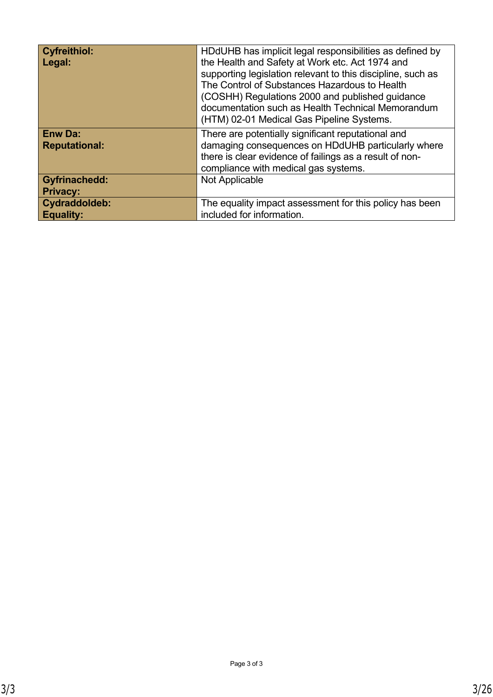| <b>Cyfreithiol:</b><br>Legal:           | HDdUHB has implicit legal responsibilities as defined by<br>the Health and Safety at Work etc. Act 1974 and<br>supporting legislation relevant to this discipline, such as<br>The Control of Substances Hazardous to Health<br>(COSHH) Regulations 2000 and published guidance<br>documentation such as Health Technical Memorandum<br>(HTM) 02-01 Medical Gas Pipeline Systems. |
|-----------------------------------------|----------------------------------------------------------------------------------------------------------------------------------------------------------------------------------------------------------------------------------------------------------------------------------------------------------------------------------------------------------------------------------|
| <b>Enw Da:</b><br><b>Reputational:</b>  | There are potentially significant reputational and<br>damaging consequences on HDdUHB particularly where<br>there is clear evidence of failings as a result of non-<br>compliance with medical gas systems.                                                                                                                                                                      |
| <b>Gyfrinachedd:</b><br><b>Privacy:</b> | Not Applicable                                                                                                                                                                                                                                                                                                                                                                   |
| Cydraddoldeb:<br><b>Equality:</b>       | The equality impact assessment for this policy has been<br>included for information.                                                                                                                                                                                                                                                                                             |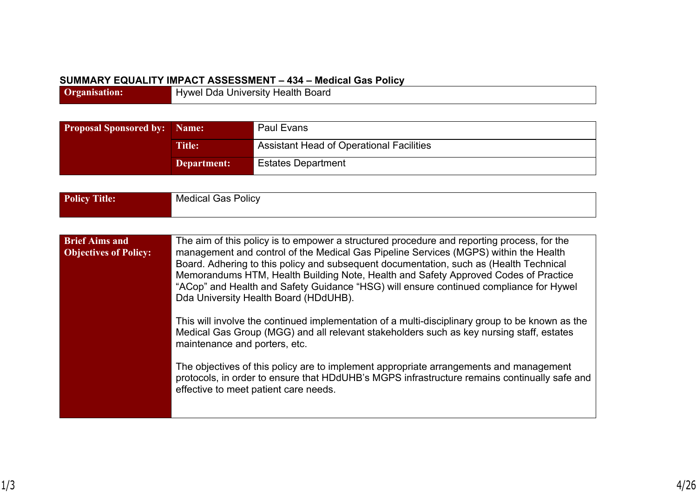#### **SUMMARY EQUALITY IMPACT ASSESSMENT – 434 – Medical Gas Policy**

**Organisation:** Hywel Dda University Health Board

| <b>Proposal Sponsored by: Name:</b> |                                          | Paul Evans                |
|-------------------------------------|------------------------------------------|---------------------------|
| <b>Title:</b><br>Department:        | Assistant Head of Operational Facilities |                           |
|                                     |                                          | <b>Estates Department</b> |

| <b>Policy Title:</b>                                  | <b>Medical Gas Policy</b>                                                                                                                                                                                                                                                                                                                                                                                                                                                                                                                                                                                                                                                                                                                                                                                                                                                                                                                                                 |
|-------------------------------------------------------|---------------------------------------------------------------------------------------------------------------------------------------------------------------------------------------------------------------------------------------------------------------------------------------------------------------------------------------------------------------------------------------------------------------------------------------------------------------------------------------------------------------------------------------------------------------------------------------------------------------------------------------------------------------------------------------------------------------------------------------------------------------------------------------------------------------------------------------------------------------------------------------------------------------------------------------------------------------------------|
|                                                       |                                                                                                                                                                                                                                                                                                                                                                                                                                                                                                                                                                                                                                                                                                                                                                                                                                                                                                                                                                           |
| <b>Brief Aims and</b><br><b>Objectives of Policy:</b> | The aim of this policy is to empower a structured procedure and reporting process, for the<br>management and control of the Medical Gas Pipeline Services (MGPS) within the Health<br>Board. Adhering to this policy and subsequent documentation, such as (Health Technical<br>Memorandums HTM, Health Building Note, Health and Safety Approved Codes of Practice<br>"ACop" and Health and Safety Guidance "HSG) will ensure continued compliance for Hywel<br>Dda University Health Board (HDdUHB).<br>This will involve the continued implementation of a multi-disciplinary group to be known as the<br>Medical Gas Group (MGG) and all relevant stakeholders such as key nursing staff, estates<br>maintenance and porters, etc.<br>The objectives of this policy are to implement appropriate arrangements and management<br>protocols, in order to ensure that HDdUHB's MGPS infrastructure remains continually safe and<br>effective to meet patient care needs. |
|                                                       |                                                                                                                                                                                                                                                                                                                                                                                                                                                                                                                                                                                                                                                                                                                                                                                                                                                                                                                                                                           |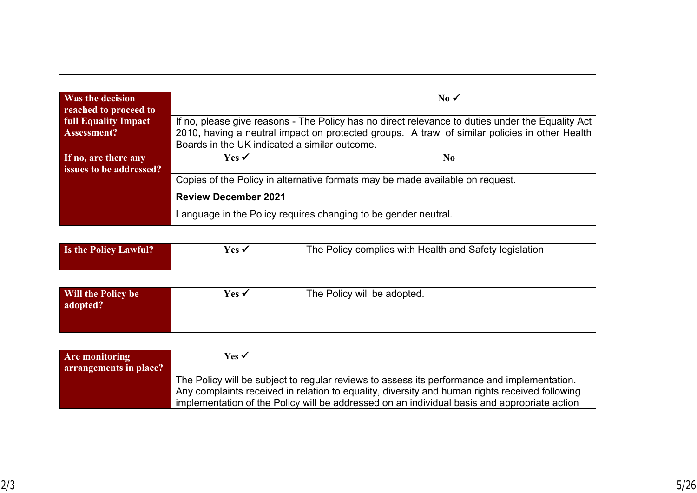|                                                                               | $\overline{\text{No}}$                                                                           |
|-------------------------------------------------------------------------------|--------------------------------------------------------------------------------------------------|
|                                                                               |                                                                                                  |
|                                                                               | If no, please give reasons - The Policy has no direct relevance to duties under the Equality Act |
|                                                                               | 2010, having a neutral impact on protected groups. A trawl of similar policies in other Health   |
| Boards in the UK indicated a similar outcome.                                 |                                                                                                  |
| Yes $\checkmark$                                                              | N <sub>0</sub>                                                                                   |
|                                                                               |                                                                                                  |
| Copies of the Policy in alternative formats may be made available on request. |                                                                                                  |
| <b>Review December 2021</b>                                                   |                                                                                                  |
|                                                                               | Language in the Policy requires changing to be gender neutral.                                   |
|                                                                               |                                                                                                  |

| Is the Policy Lawful? | Yes v | The Policy complies with Health and Safety legislation |
|-----------------------|-------|--------------------------------------------------------|
|-----------------------|-------|--------------------------------------------------------|

| Will the Policy be<br>adopted? | Yes $\checkmark$ | The Policy will be adopted. |
|--------------------------------|------------------|-----------------------------|
|                                |                  |                             |

| Are monitoring         | Yes $\checkmark$                                                                               |                                                                                              |
|------------------------|------------------------------------------------------------------------------------------------|----------------------------------------------------------------------------------------------|
| arrangements in place? |                                                                                                |                                                                                              |
|                        | The Policy will be subject to regular reviews to assess its performance and implementation.    |                                                                                              |
|                        | Any complaints received in relation to equality, diversity and human rights received following |                                                                                              |
|                        |                                                                                                | implementation of the Policy will be addressed on an individual basis and appropriate action |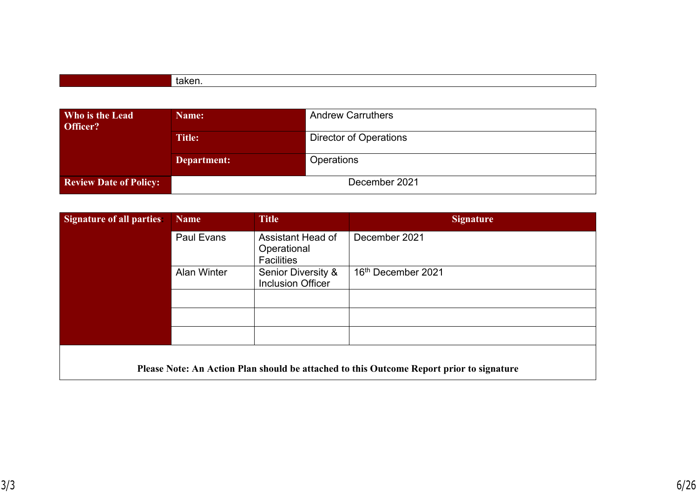| Who is the Lead<br>Officer?   | <b>Name:</b> | <b>Andrew Carruthers</b>      |
|-------------------------------|--------------|-------------------------------|
|                               | Title:       | <b>Director of Operations</b> |
|                               | Department:  | <b>Operations</b>             |
| <b>Review Date of Policy:</b> |              | December 2021                 |

| <b>Signature of all parties:</b> | <b>Name</b>        | <b>Title</b>                                              | <b>Signature</b>                                                                         |
|----------------------------------|--------------------|-----------------------------------------------------------|------------------------------------------------------------------------------------------|
|                                  | <b>Paul Evans</b>  | Assistant Head of<br>Operational<br><b>Facilities</b>     | December 2021                                                                            |
|                                  | <b>Alan Winter</b> | <b>Senior Diversity &amp;</b><br><b>Inclusion Officer</b> | 16th December 2021                                                                       |
|                                  |                    |                                                           |                                                                                          |
|                                  |                    |                                                           |                                                                                          |
|                                  |                    |                                                           |                                                                                          |
|                                  |                    |                                                           | Please Note: An Action Plan should be attached to this Outcome Report prior to signature |

 $\overline{\phantom{a}}$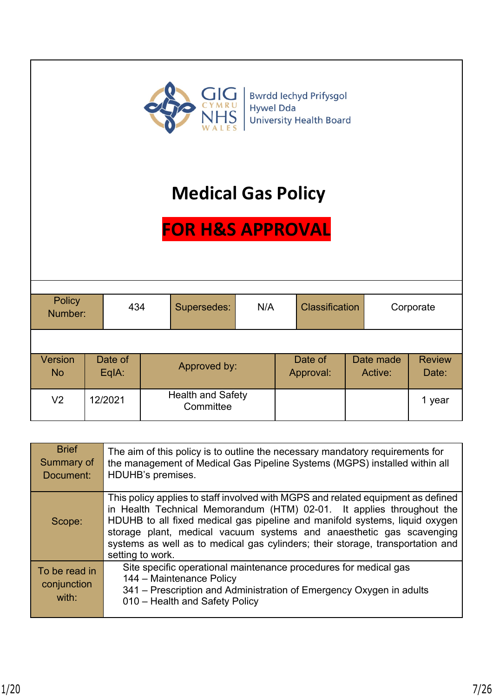

# **Medical Gas Policy**

# **FOR H&S APPROVAL**

| <b>Policy</b><br>Number: |  | 434              |  | Supersedes:                           | N/A | <b>Classification</b> |                      | Corporate |                      |                        |
|--------------------------|--|------------------|--|---------------------------------------|-----|-----------------------|----------------------|-----------|----------------------|------------------------|
|                          |  |                  |  |                                       |     |                       |                      |           |                      |                        |
| Version<br><b>No</b>     |  | Date of<br>EqlA: |  | Approved by:                          |     |                       | Date of<br>Approval: |           | Date made<br>Active: | <b>Review</b><br>Date: |
| V2                       |  | 12/2021          |  | <b>Health and Safety</b><br>Committee |     |                       |                      |           |                      | 1 year                 |

| <b>Brief</b><br>Summary of<br>Document: | The aim of this policy is to outline the necessary mandatory requirements for<br>the management of Medical Gas Pipeline Systems (MGPS) installed within all<br>HDUHB's premises.                                                                                                                                                                                                                                       |
|-----------------------------------------|------------------------------------------------------------------------------------------------------------------------------------------------------------------------------------------------------------------------------------------------------------------------------------------------------------------------------------------------------------------------------------------------------------------------|
| Scope:                                  | This policy applies to staff involved with MGPS and related equipment as defined<br>in Health Technical Memorandum (HTM) 02-01. It applies throughout the<br>HDUHB to all fixed medical gas pipeline and manifold systems, liquid oxygen<br>storage plant, medical vacuum systems and anaesthetic gas scavenging<br>systems as well as to medical gas cylinders; their storage, transportation and<br>setting to work. |
| To be read in<br>conjunction<br>with:   | Site specific operational maintenance procedures for medical gas<br>144 - Maintenance Policy<br>341 – Prescription and Administration of Emergency Oxygen in adults<br>010 - Health and Safety Policy                                                                                                                                                                                                                  |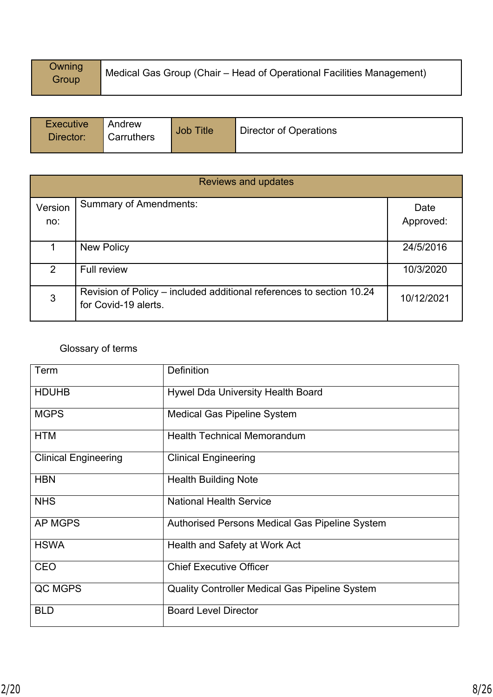| <b>Owning</b><br>Group | Medical Gas Group (Chair – Head of Operational Facilities Management) |
|------------------------|-----------------------------------------------------------------------|
|------------------------|-----------------------------------------------------------------------|

| Executive<br>  Andrew<br>Carruthers<br>Director: | <b>Job Title</b> | Director of Operations |
|--------------------------------------------------|------------------|------------------------|
|--------------------------------------------------|------------------|------------------------|

|                | <b>Reviews and updates</b>                                                                   |                   |  |  |  |
|----------------|----------------------------------------------------------------------------------------------|-------------------|--|--|--|
| Version<br>no: | <b>Summary of Amendments:</b>                                                                | Date<br>Approved: |  |  |  |
|                | <b>New Policy</b>                                                                            | 24/5/2016         |  |  |  |
| $\overline{2}$ | <b>Full review</b>                                                                           | 10/3/2020         |  |  |  |
| 3              | Revision of Policy – included additional references to section 10.24<br>for Covid-19 alerts. | 10/12/2021        |  |  |  |

# Glossary of terms

| Term                        | Definition                                            |
|-----------------------------|-------------------------------------------------------|
| <b>HDUHB</b>                | <b>Hywel Dda University Health Board</b>              |
| <b>MGPS</b>                 | <b>Medical Gas Pipeline System</b>                    |
| <b>HTM</b>                  | <b>Health Technical Memorandum</b>                    |
| <b>Clinical Engineering</b> | <b>Clinical Engineering</b>                           |
| <b>HBN</b>                  | <b>Health Building Note</b>                           |
| <b>NHS</b>                  | <b>National Health Service</b>                        |
| <b>AP MGPS</b>              | <b>Authorised Persons Medical Gas Pipeline System</b> |
| <b>HSWA</b>                 | Health and Safety at Work Act                         |
| <b>CEO</b>                  | <b>Chief Executive Officer</b>                        |
| QC MGPS                     | <b>Quality Controller Medical Gas Pipeline System</b> |
| <b>BLD</b>                  | <b>Board Level Director</b>                           |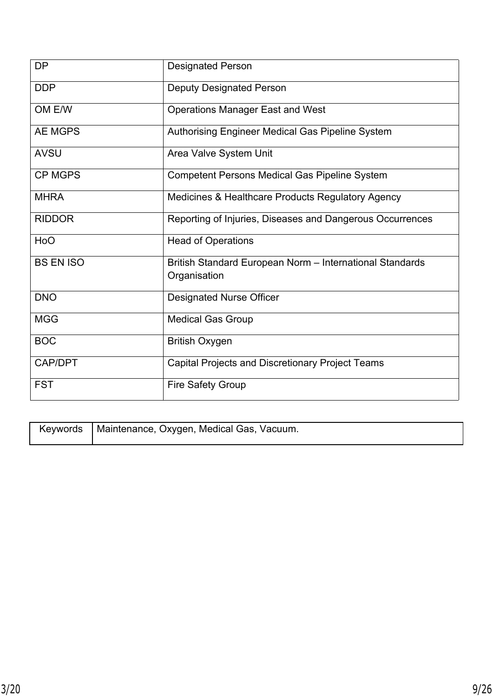| <b>DP</b>        | <b>Designated Person</b>                                                 |
|------------------|--------------------------------------------------------------------------|
| <b>DDP</b>       | <b>Deputy Designated Person</b>                                          |
| OM E/W           | <b>Operations Manager East and West</b>                                  |
| <b>AE MGPS</b>   | Authorising Engineer Medical Gas Pipeline System                         |
| <b>AVSU</b>      | Area Valve System Unit                                                   |
| <b>CP MGPS</b>   | <b>Competent Persons Medical Gas Pipeline System</b>                     |
| <b>MHRA</b>      | Medicines & Healthcare Products Regulatory Agency                        |
| <b>RIDDOR</b>    | Reporting of Injuries, Diseases and Dangerous Occurrences                |
| HoO              | <b>Head of Operations</b>                                                |
| <b>BS EN ISO</b> | British Standard European Norm - International Standards<br>Organisation |
| <b>DNO</b>       | <b>Designated Nurse Officer</b>                                          |
| <b>MGG</b>       | <b>Medical Gas Group</b>                                                 |
| <b>BOC</b>       | <b>British Oxygen</b>                                                    |
| CAP/DPT          | Capital Projects and Discretionary Project Teams                         |
| <b>FST</b>       | <b>Fire Safety Group</b>                                                 |

| │ Keywords │Maintenance, Oxygen, Medical Gas, Vacuum. |
|-------------------------------------------------------|
|                                                       |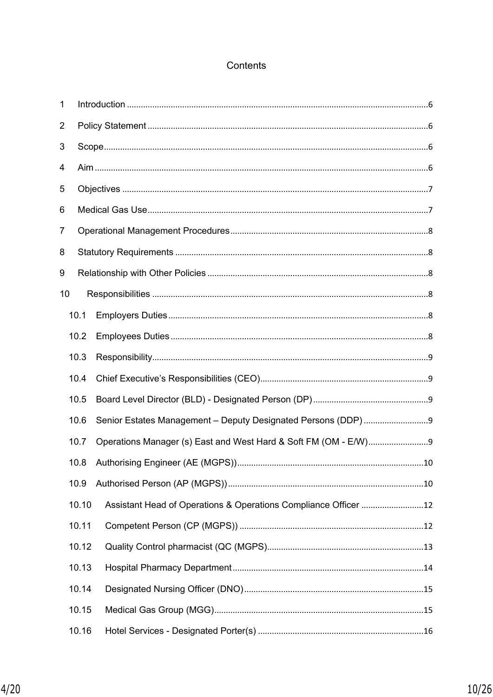# Contents

| 1  |       |  |  |  |  |  |
|----|-------|--|--|--|--|--|
| 2  |       |  |  |  |  |  |
| 3  |       |  |  |  |  |  |
| 4  |       |  |  |  |  |  |
| 5  |       |  |  |  |  |  |
| 6  |       |  |  |  |  |  |
| 7  |       |  |  |  |  |  |
| 8  |       |  |  |  |  |  |
| 9  |       |  |  |  |  |  |
| 10 |       |  |  |  |  |  |
|    | 10.1  |  |  |  |  |  |
|    | 10.2  |  |  |  |  |  |
|    | 10.3  |  |  |  |  |  |
|    | 10.4  |  |  |  |  |  |
|    | 10.5  |  |  |  |  |  |
|    | 10.6  |  |  |  |  |  |
|    | 10.7  |  |  |  |  |  |
|    | 10.8  |  |  |  |  |  |
|    | 10.9  |  |  |  |  |  |
|    | 10.10 |  |  |  |  |  |
|    | 10.11 |  |  |  |  |  |
|    | 10.12 |  |  |  |  |  |
|    | 10.13 |  |  |  |  |  |
|    | 10.14 |  |  |  |  |  |
|    | 10.15 |  |  |  |  |  |
|    | 10.16 |  |  |  |  |  |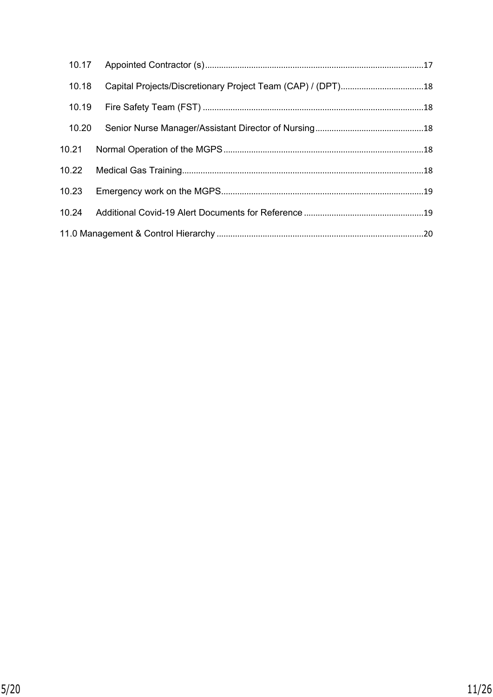| 10.18 |  |  |  |
|-------|--|--|--|
| 10.19 |  |  |  |
| 10.20 |  |  |  |
| 10.21 |  |  |  |
| 10.22 |  |  |  |
| 10.23 |  |  |  |
| 10.24 |  |  |  |
|       |  |  |  |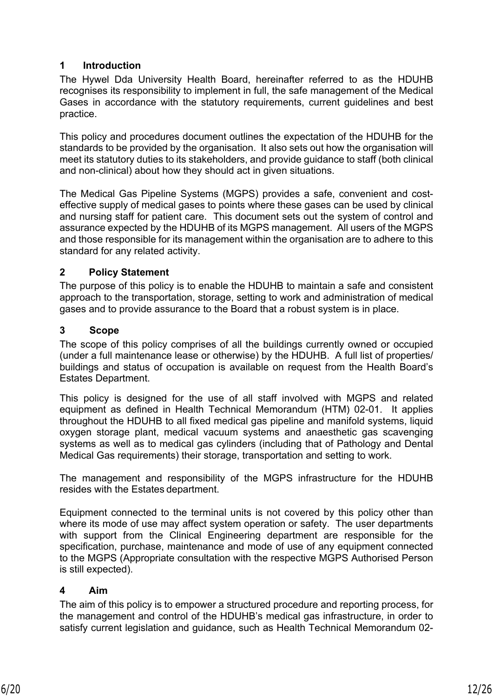# <span id="page-11-0"></span>**1 Introduction**

The Hywel Dda University Health Board, hereinafter referred to as the HDUHB recognises its responsibility to implement in full, the safe management of the Medical Gases in accordance with the statutory requirements, current guidelines and best practice.

This policy and procedures document outlines the expectation of the HDUHB for the standards to be provided by the organisation. It also sets out how the organisation will meet its statutory duties to its stakeholders, and provide guidance to staff (both clinical and non-clinical) about how they should act in given situations.

The Medical Gas Pipeline Systems (MGPS) provides a safe, convenient and costeffective supply of medical gases to points where these gases can be used by clinical and nursing staff for patient care. This document sets out the system of control and assurance expected by the HDUHB of its MGPS management. All users of the MGPS and those responsible for its management within the organisation are to adhere to this standard for any related activity.

# <span id="page-11-1"></span>**2 Policy Statement**

The purpose of this policy is to enable the HDUHB to maintain a safe and consistent approach to the transportation, storage, setting to work and administration of medical gases and to provide assurance to the Board that a robust system is in place.

#### <span id="page-11-2"></span>**3 Scope**

The scope of this policy comprises of all the buildings currently owned or occupied (under a full maintenance lease or otherwise) by the HDUHB. A full list of properties/ buildings and status of occupation is available on request from the Health Board's Estates Department.

This policy is designed for the use of all staff involved with MGPS and related equipment as defined in Health Technical Memorandum (HTM) 02-01. It applies throughout the HDUHB to all fixed medical gas pipeline and manifold systems, liquid oxygen storage plant, medical vacuum systems and anaesthetic gas scavenging systems as well as to medical gas cylinders (including that of Pathology and Dental Medical Gas requirements) their storage, transportation and setting to work.

The management and responsibility of the MGPS infrastructure for the HDUHB resides with the Estates department.

Equipment connected to the terminal units is not covered by this policy other than where its mode of use may affect system operation or safety. The user departments with support from the Clinical Engineering department are responsible for the specification, purchase, maintenance and mode of use of any equipment connected to the MGPS (Appropriate consultation with the respective MGPS Authorised Person is still expected).

#### <span id="page-11-3"></span>**4 Aim**

The aim of this policy is to empower a structured procedure and reporting process, for the management and control of the HDUHB's medical gas infrastructure, in order to satisfy current legislation and guidance, such as Health Technical Memorandum 02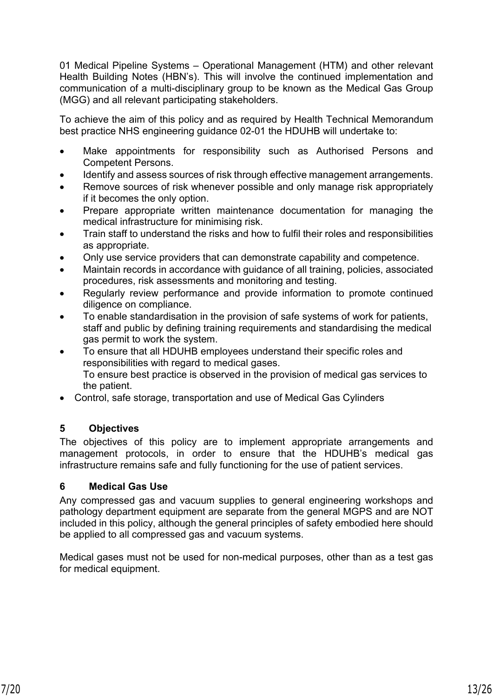01 Medical Pipeline Systems – Operational Management (HTM) and other relevant Health Building Notes (HBN's). This will involve the continued implementation and communication of a multi-disciplinary group to be known as the Medical Gas Group (MGG) and all relevant participating stakeholders.

To achieve the aim of this policy and as required by Health Technical Memorandum best practice NHS engineering guidance 02-01 the HDUHB will undertake to:

- Make appointments for responsibility such as Authorised Persons and Competent Persons.
- Identify and assess sources of risk through effective management arrangements.
- Remove sources of risk whenever possible and only manage risk appropriately if it becomes the only option.
- Prepare appropriate written maintenance documentation for managing the medical infrastructure for minimising risk.
- Train staff to understand the risks and how to fulfil their roles and responsibilities as appropriate.
- Only use service providers that can demonstrate capability and competence.
- Maintain records in accordance with guidance of all training, policies, associated procedures, risk assessments and monitoring and testing.
- Regularly review performance and provide information to promote continued diligence on compliance.
- To enable standardisation in the provision of safe systems of work for patients, staff and public by defining training requirements and standardising the medical gas permit to work the system.
- To ensure that all HDUHB employees understand their specific roles and responsibilities with regard to medical gases. To ensure best practice is observed in the provision of medical gas services to the patient.
- Control, safe storage, transportation and use of Medical Gas Cylinders

# <span id="page-12-0"></span>**5 Objectives**

The objectives of this policy are to implement appropriate arrangements and management protocols, in order to ensure that the HDUHB's medical gas infrastructure remains safe and fully functioning for the use of patient services.

#### <span id="page-12-1"></span>**6 Medical Gas Use**

Any compressed gas and vacuum supplies to general engineering workshops and pathology department equipment are separate from the general MGPS and are NOT included in this policy, although the general principles of safety embodied here should be applied to all compressed gas and vacuum systems.

Medical gases must not be used for non-medical purposes, other than as a test gas for medical equipment.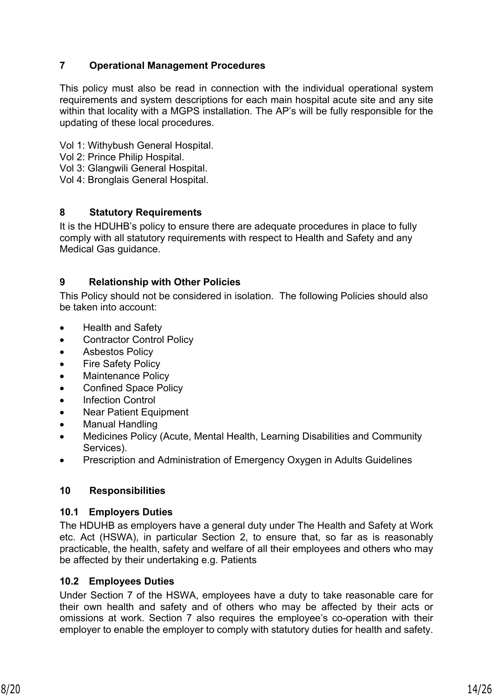# <span id="page-13-0"></span>**7 Operational Management Procedures**

This policy must also be read in connection with the individual operational system requirements and system descriptions for each main hospital acute site and any site within that locality with a MGPS installation. The AP's will be fully responsible for the updating of these local procedures.

- Vol 1: Withybush General Hospital.
- Vol 2: Prince Philip Hospital.
- Vol 3: Glangwili General Hospital.
- Vol 4: Bronglais General Hospital.

#### <span id="page-13-1"></span>**8 Statutory Requirements**

It is the HDUHB's policy to ensure there are adequate procedures in place to fully comply with all statutory requirements with respect to Health and Safety and any Medical Gas guidance.

# <span id="page-13-2"></span>**9 Relationship with Other Policies**

This Policy should not be considered in isolation. The following Policies should also be taken into account:

- Health and Safety
- Contractor Control Policy
- **•** Asbestos Policy
- Fire Safety Policy
- Maintenance Policy
- Confined Space Policy
- Infection Control
- Near Patient Equipment
- Manual Handling
- Medicines Policy (Acute, Mental Health, Learning Disabilities and Community Services).
- Prescription and Administration of Emergency Oxygen in Adults Guidelines

#### <span id="page-13-3"></span>**10 Responsibilities**

#### <span id="page-13-4"></span>**10.1 Employers Duties**

The HDUHB as employers have a general duty under The Health and Safety at Work etc. Act (HSWA), in particular Section 2, to ensure that, so far as is reasonably practicable, the health, safety and welfare of all their employees and others who may be affected by their undertaking e.g. Patients

#### <span id="page-13-5"></span>**10.2 Employees Duties**

Under Section 7 of the HSWA, employees have a duty to take reasonable care for their own health and safety and of others who may be affected by their acts or omissions at work. Section 7 also requires the employee's co-operation with their employer to enable the employer to comply with statutory duties for health and safety.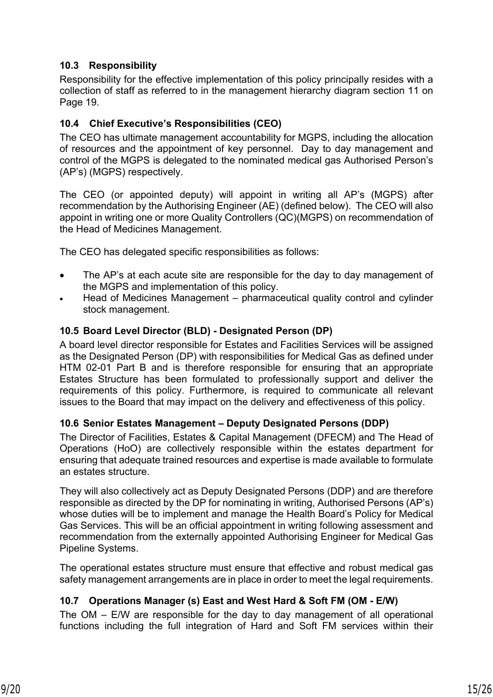# <span id="page-14-0"></span>**10.3 Responsibility**

Responsibility for the effective implementation of this policy principally resides with a collection of staff as referred to in the management hierarchy diagram section 11 on Page 19.

### <span id="page-14-1"></span>**10.4 Chief Executive's Responsibilities (CEO)**

The CEO has ultimate management accountability for MGPS, including the allocation of resources and the appointment of key personnel. Day to day management and control of the MGPS is delegated to the nominated medical gas Authorised Person's (AP's) (MGPS) respectively.

The CEO (or appointed deputy) will appoint in writing all AP's (MGPS) after recommendation by the Authorising Engineer (AE) (defined below). The CEO will also appoint in writing one or more Quality Controllers (QC)(MGPS) on recommendation of the Head of Medicines Management.

The CEO has delegated specific responsibilities as follows:

- The AP's at each acute site are responsible for the day to day management of the MGPS and implementation of this policy.
- Head of Medicines Management pharmaceutical quality control and cylinder stock management.

#### <span id="page-14-2"></span>**10.5 Board Level Director (BLD) - Designated Person (DP)**

A board level director responsible for Estates and Facilities Services will be assigned as the Designated Person (DP) with responsibilities for Medical Gas as defined under HTM 02-01 Part B and is therefore responsible for ensuring that an appropriate Estates Structure has been formulated to professionally support and deliver the requirements of this policy. Furthermore, is required to communicate all relevant issues to the Board that may impact on the delivery and effectiveness of this policy.

#### <span id="page-14-3"></span>**10.6 Senior Estates Management – Deputy Designated Persons (DDP)**

The Director of Facilities, Estates & Capital Management (DFECM) and The Head of Operations (HoO) are collectively responsible within the estates department for ensuring that adequate trained resources and expertise is made available to formulate an estates structure.

They will also collectively act as Deputy Designated Persons (DDP) and are therefore responsible as directed by the DP for nominating in writing, Authorised Persons (AP's) whose duties will be to implement and manage the Health Board's Policy for Medical Gas Services. This will be an official appointment in writing following assessment and recommendation from the externally appointed Authorising Engineer for Medical Gas Pipeline Systems.

The operational estates structure must ensure that effective and robust medical gas safety management arrangements are in place in order to meet the legal requirements.

# <span id="page-14-4"></span>**10.7 Operations Manager (s) East and West Hard & Soft FM (OM - E/W)**

The OM – E/W are responsible for the day to day management of all operational functions including the full integration of Hard and Soft FM services within their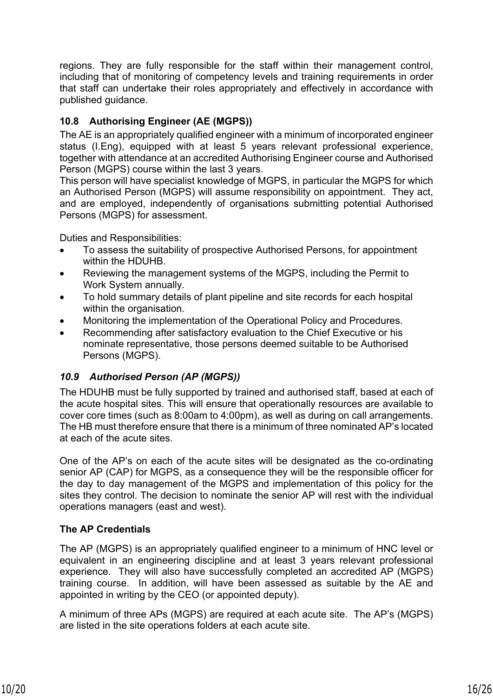regions. They are fully responsible for the staff within their management control, including that of monitoring of competency levels and training requirements in order that staff can undertake their roles appropriately and effectively in accordance with published guidance.

# <span id="page-15-0"></span>**10.8 Authorising Engineer (AE (MGPS))**

The AE is an appropriately qualified engineer with a minimum of incorporated engineer status (I.Eng), equipped with at least 5 years relevant professional experience, together with attendance at an accredited Authorising Engineer course and Authorised Person (MGPS) course within the last 3 years.

This person will have specialist knowledge of MGPS, in particular the MGPS for which an Authorised Person (MGPS) will assume responsibility on appointment. They act, and are employed, independently of organisations submitting potential Authorised Persons (MGPS) for assessment.

Duties and Responsibilities:

- To assess the suitability of prospective Authorised Persons, for appointment within the HDUHB.
- Reviewing the management systems of the MGPS, including the Permit to Work System annually.
- To hold summary details of plant pipeline and site records for each hospital within the organisation.
- Monitoring the implementation of the Operational Policy and Procedures.
- Recommending after satisfactory evaluation to the Chief Executive or his nominate representative, those persons deemed suitable to be Authorised Persons (MGPS).

# <span id="page-15-1"></span>*10.9 Authorised Person (AP (MGPS))*

The HDUHB must be fully supported by trained and authorised staff, based at each of the acute hospital sites. This will ensure that operationally resources are available to cover core times (such as 8:00am to 4:00pm), as well as during on call arrangements. The HB must therefore ensure that there is a minimum of three nominated AP's located at each of the acute sites.

One of the AP's on each of the acute sites will be designated as the co-ordinating senior AP (CAP) for MGPS, as a consequence they will be the responsible officer for the day to day management of the MGPS and implementation of this policy for the sites they control. The decision to nominate the senior AP will rest with the individual operations managers (east and west).

# **The AP Credentials**

The AP (MGPS) is an appropriately qualified engineer to a minimum of HNC level or equivalent in an engineering discipline and at least 3 years relevant professional experience. They will also have successfully completed an accredited AP (MGPS) training course. In addition, will have been assessed as suitable by the AE and appointed in writing by the CEO (or appointed deputy).

A minimum of three APs (MGPS) are required at each acute site. The AP's (MGPS) are listed in the site operations folders at each acute site.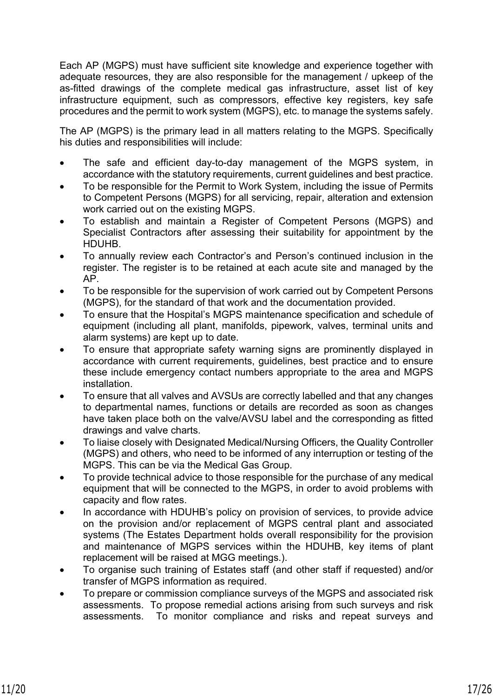Each AP (MGPS) must have sufficient site knowledge and experience together with adequate resources, they are also responsible for the management / upkeep of the as-fitted drawings of the complete medical gas infrastructure, asset list of key infrastructure equipment, such as compressors, effective key registers, key safe procedures and the permit to work system (MGPS), etc. to manage the systems safely.

The AP (MGPS) is the primary lead in all matters relating to the MGPS. Specifically his duties and responsibilities will include:

- The safe and efficient day-to-day management of the MGPS system, in accordance with the statutory requirements, current guidelines and best practice.
- To be responsible for the Permit to Work System, including the issue of Permits to Competent Persons (MGPS) for all servicing, repair, alteration and extension work carried out on the existing MGPS.
- To establish and maintain a Register of Competent Persons (MGPS) and Specialist Contractors after assessing their suitability for appointment by the HDUHB.
- To annually review each Contractor's and Person's continued inclusion in the register. The register is to be retained at each acute site and managed by the AP.
- To be responsible for the supervision of work carried out by Competent Persons (MGPS), for the standard of that work and the documentation provided.
- To ensure that the Hospital's MGPS maintenance specification and schedule of equipment (including all plant, manifolds, pipework, valves, terminal units and alarm systems) are kept up to date.
- To ensure that appropriate safety warning signs are prominently displayed in accordance with current requirements, guidelines, best practice and to ensure these include emergency contact numbers appropriate to the area and MGPS installation.
- To ensure that all valves and AVSUs are correctly labelled and that any changes to departmental names, functions or details are recorded as soon as changes have taken place both on the valve/AVSU label and the corresponding as fitted drawings and valve charts.
- To liaise closely with Designated Medical/Nursing Officers, the Quality Controller (MGPS) and others, who need to be informed of any interruption or testing of the MGPS. This can be via the Medical Gas Group.
- To provide technical advice to those responsible for the purchase of any medical equipment that will be connected to the MGPS, in order to avoid problems with capacity and flow rates.
- In accordance with HDUHB's policy on provision of services, to provide advice on the provision and/or replacement of MGPS central plant and associated systems (The Estates Department holds overall responsibility for the provision and maintenance of MGPS services within the HDUHB, key items of plant replacement will be raised at MGG meetings.).
- To organise such training of Estates staff (and other staff if requested) and/or transfer of MGPS information as required.
- To prepare or commission compliance surveys of the MGPS and associated risk assessments. To propose remedial actions arising from such surveys and risk assessments. To monitor compliance and risks and repeat surveys and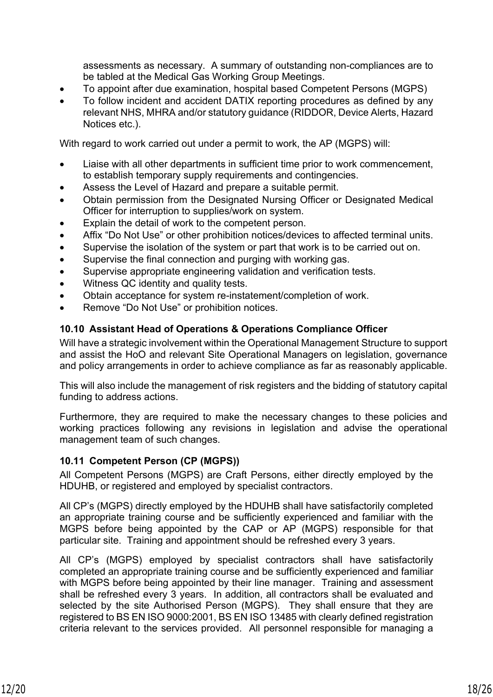assessments as necessary. A summary of outstanding non-compliances are to be tabled at the Medical Gas Working Group Meetings.

- To appoint after due examination, hospital based Competent Persons (MGPS)
- To follow incident and accident DATIX reporting procedures as defined by any relevant NHS, MHRA and/or statutory guidance (RIDDOR, Device Alerts, Hazard Notices etc.).

With regard to work carried out under a permit to work, the AP (MGPS) will:

- Liaise with all other departments in sufficient time prior to work commencement, to establish temporary supply requirements and contingencies.
- Assess the Level of Hazard and prepare a suitable permit.
- Obtain permission from the Designated Nursing Officer or Designated Medical Officer for interruption to supplies/work on system.
- Explain the detail of work to the competent person.
- Affix "Do Not Use" or other prohibition notices/devices to affected terminal units.
- Supervise the isolation of the system or part that work is to be carried out on.
- Supervise the final connection and purging with working gas.
- Supervise appropriate engineering validation and verification tests.
- Witness QC identity and quality tests.
- Obtain acceptance for system re-instatement/completion of work.
- Remove "Do Not Use" or prohibition notices.

#### <span id="page-17-0"></span>**10.10 Assistant Head of Operations & Operations Compliance Officer**

Will have a strategic involvement within the Operational Management Structure to support and assist the HoO and relevant Site Operational Managers on legislation, governance and policy arrangements in order to achieve compliance as far as reasonably applicable.

This will also include the management of risk registers and the bidding of statutory capital funding to address actions.

Furthermore, they are required to make the necessary changes to these policies and working practices following any revisions in legislation and advise the operational management team of such changes.

#### <span id="page-17-1"></span>**10.11 Competent Person (CP (MGPS))**

All Competent Persons (MGPS) are Craft Persons, either directly employed by the HDUHB, or registered and employed by specialist contractors.

All CP's (MGPS) directly employed by the HDUHB shall have satisfactorily completed an appropriate training course and be sufficiently experienced and familiar with the MGPS before being appointed by the CAP or AP (MGPS) responsible for that particular site. Training and appointment should be refreshed every 3 years.

All CP's (MGPS) employed by specialist contractors shall have satisfactorily completed an appropriate training course and be sufficiently experienced and familiar with MGPS before being appointed by their line manager. Training and assessment shall be refreshed every 3 years. In addition, all contractors shall be evaluated and selected by the site Authorised Person (MGPS). They shall ensure that they are registered to BS EN ISO 9000:2001, BS EN ISO 13485 with clearly defined registration criteria relevant to the services provided. All personnel responsible for managing a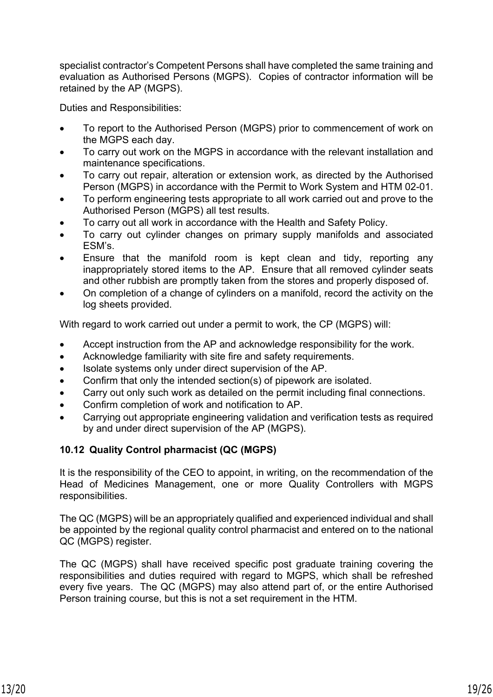specialist contractor's Competent Persons shall have completed the same training and evaluation as Authorised Persons (MGPS). Copies of contractor information will be retained by the AP (MGPS).

Duties and Responsibilities:

- To report to the Authorised Person (MGPS) prior to commencement of work on the MGPS each day.
- To carry out work on the MGPS in accordance with the relevant installation and maintenance specifications.
- To carry out repair, alteration or extension work, as directed by the Authorised Person (MGPS) in accordance with the Permit to Work System and HTM 02-01.
- To perform engineering tests appropriate to all work carried out and prove to the Authorised Person (MGPS) all test results.
- To carry out all work in accordance with the Health and Safety Policy.
- To carry out cylinder changes on primary supply manifolds and associated ESM's.
- Ensure that the manifold room is kept clean and tidy, reporting any inappropriately stored items to the AP. Ensure that all removed cylinder seats and other rubbish are promptly taken from the stores and properly disposed of.
- On completion of a change of cylinders on a manifold, record the activity on the log sheets provided.

With regard to work carried out under a permit to work, the CP (MGPS) will:

- Accept instruction from the AP and acknowledge responsibility for the work.
- Acknowledge familiarity with site fire and safety requirements.
- Isolate systems only under direct supervision of the AP.
- Confirm that only the intended section(s) of pipework are isolated.
- Carry out only such work as detailed on the permit including final connections.
- Confirm completion of work and notification to AP.
- Carrying out appropriate engineering validation and verification tests as required by and under direct supervision of the AP (MGPS).

#### <span id="page-18-0"></span>**10.12 Quality Control pharmacist (QC (MGPS)**

It is the responsibility of the CEO to appoint, in writing, on the recommendation of the Head of Medicines Management, one or more Quality Controllers with MGPS responsibilities.

The QC (MGPS) will be an appropriately qualified and experienced individual and shall be appointed by the regional quality control pharmacist and entered on to the national QC (MGPS) register.

The QC (MGPS) shall have received specific post graduate training covering the responsibilities and duties required with regard to MGPS, which shall be refreshed every five years. The QC (MGPS) may also attend part of, or the entire Authorised Person training course, but this is not a set requirement in the HTM.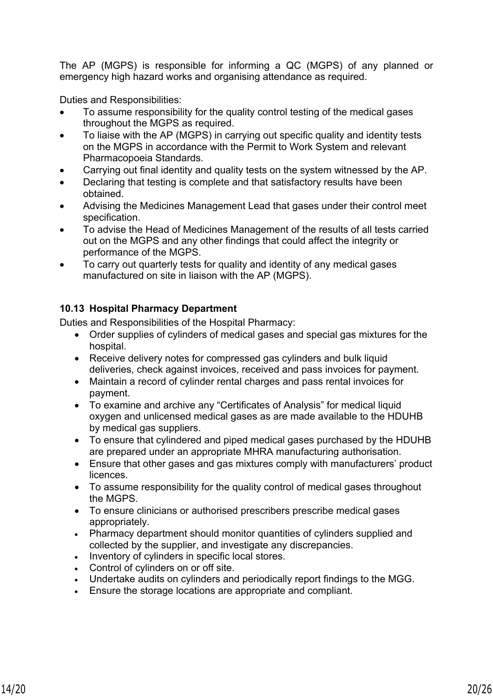The AP (MGPS) is responsible for informing a QC (MGPS) of any planned or emergency high hazard works and organising attendance as required.

Duties and Responsibilities:

- To assume responsibility for the quality control testing of the medical gases throughout the MGPS as required.
- To liaise with the AP (MGPS) in carrying out specific quality and identity tests on the MGPS in accordance with the Permit to Work System and relevant Pharmacopoeia Standards.
- Carrying out final identity and quality tests on the system witnessed by the AP.
- Declaring that testing is complete and that satisfactory results have been obtained.
- Advising the Medicines Management Lead that gases under their control meet specification.
- To advise the Head of Medicines Management of the results of all tests carried out on the MGPS and any other findings that could affect the integrity or performance of the MGPS.
- To carry out quarterly tests for quality and identity of any medical gases manufactured on site in liaison with the AP (MGPS).

# <span id="page-19-0"></span>**10.13 Hospital Pharmacy Department**

Duties and Responsibilities of the Hospital Pharmacy:

- Order supplies of cylinders of medical gases and special gas mixtures for the hospital.
- Receive delivery notes for compressed gas cylinders and bulk liquid deliveries, check against invoices, received and pass invoices for payment.
- Maintain a record of cylinder rental charges and pass rental invoices for payment.
- To examine and archive any "Certificates of Analysis" for medical liquid oxygen and unlicensed medical gases as are made available to the HDUHB by medical gas suppliers.
- To ensure that cylindered and piped medical gases purchased by the HDUHB are prepared under an appropriate MHRA manufacturing authorisation.
- Ensure that other gases and gas mixtures comply with manufacturers' product licences.
- To assume responsibility for the quality control of medical gases throughout the MGPS.
- To ensure clinicians or authorised prescribers prescribe medical gases appropriately.
- Pharmacy department should monitor quantities of cylinders supplied and collected by the supplier, and investigate any discrepancies.
- Inventory of cylinders in specific local stores.
- Control of cylinders on or off site.
- Undertake audits on cylinders and periodically report findings to the MGG.
- Ensure the storage locations are appropriate and compliant.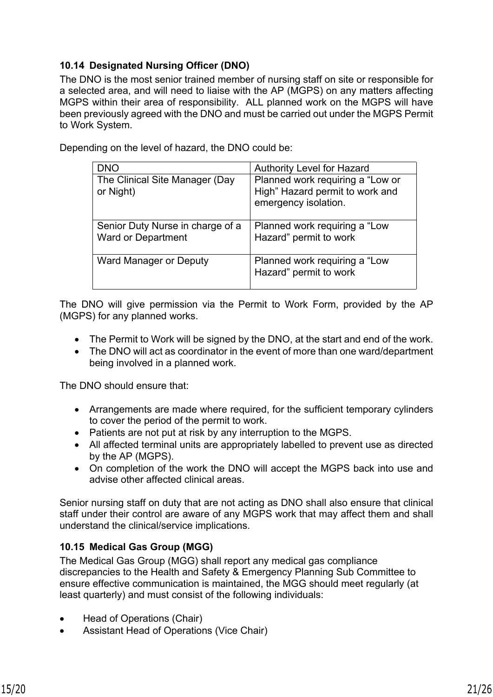# <span id="page-20-0"></span>**10.14 Designated Nursing Officer (DNO)**

The DNO is the most senior trained member of nursing staff on site or responsible for a selected area, and will need to liaise with the AP (MGPS) on any matters affecting MGPS within their area of responsibility. ALL planned work on the MGPS will have been previously agreed with the DNO and must be carried out under the MGPS Permit to Work System.

| <b>DNO</b>                                                    | <b>Authority Level for Hazard</b>                                                           |
|---------------------------------------------------------------|---------------------------------------------------------------------------------------------|
| The Clinical Site Manager (Day<br>or Night)                   | Planned work requiring a "Low or<br>High" Hazard permit to work and<br>emergency isolation. |
| Senior Duty Nurse in charge of a<br><b>Ward or Department</b> | Planned work requiring a "Low<br>Hazard" permit to work                                     |
| Ward Manager or Deputy                                        | Planned work requiring a "Low<br>Hazard" permit to work                                     |

Depending on the level of hazard, the DNO could be:

The DNO will give permission via the Permit to Work Form, provided by the AP (MGPS) for any planned works.

- The Permit to Work will be signed by the DNO, at the start and end of the work.
- The DNO will act as coordinator in the event of more than one ward/department being involved in a planned work.

The DNO should ensure that:

- Arrangements are made where required, for the sufficient temporary cylinders to cover the period of the permit to work.
- Patients are not put at risk by any interruption to the MGPS.
- All affected terminal units are appropriately labelled to prevent use as directed by the AP (MGPS).
- On completion of the work the DNO will accept the MGPS back into use and advise other affected clinical areas.

Senior nursing staff on duty that are not acting as DNO shall also ensure that clinical staff under their control are aware of any MGPS work that may affect them and shall understand the clinical/service implications.

#### <span id="page-20-1"></span>**10.15 Medical Gas Group (MGG)**

The Medical Gas Group (MGG) shall report any medical gas compliance discrepancies to the Health and Safety & Emergency Planning Sub Committee to ensure effective communication is maintained, the MGG should meet regularly (at least quarterly) and must consist of the following individuals:

- Head of Operations (Chair)
- Assistant Head of Operations (Vice Chair)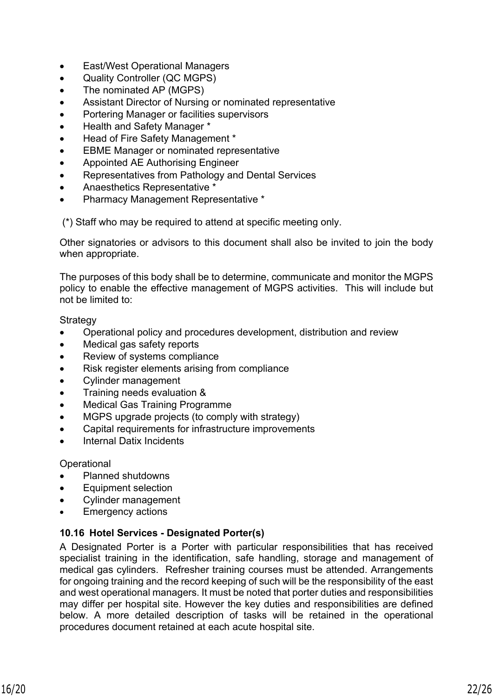- East/West Operational Managers
- Quality Controller (QC MGPS)
- The nominated AP (MGPS)
- Assistant Director of Nursing or nominated representative
- Portering Manager or facilities supervisors
- Health and Safety Manager \*
- Head of Fire Safety Management \*
- EBME Manager or nominated representative
- Appointed AE Authorising Engineer
- Representatives from Pathology and Dental Services
- Anaesthetics Representative \*
- Pharmacy Management Representative \*

(\*) Staff who may be required to attend at specific meeting only.

Other signatories or advisors to this document shall also be invited to join the body when appropriate.

The purposes of this body shall be to determine, communicate and monitor the MGPS policy to enable the effective management of MGPS activities. This will include but not be limited to:

**Strategy** 

- Operational policy and procedures development, distribution and review
- Medical gas safety reports
- Review of systems compliance
- Risk register elements arising from compliance
- Cylinder management
- Training needs evaluation &
- Medical Gas Training Programme
- MGPS upgrade projects (to comply with strategy)
- Capital requirements for infrastructure improvements
- Internal Datix Incidents

**Operational** 

- Planned shutdowns
- Equipment selection
- Cylinder management
- <span id="page-21-0"></span>Emergency actions

#### **10.16 Hotel Services - Designated Porter(s)**

A Designated Porter is a Porter with particular responsibilities that has received specialist training in the identification, safe handling, storage and management of medical gas cylinders. Refresher training courses must be attended. Arrangements for ongoing training and the record keeping of such will be the responsibility of the east and west operational managers. It must be noted that porter duties and responsibilities may differ per hospital site. However the key duties and responsibilities are defined below. A more detailed description of tasks will be retained in the operational procedures document retained at each acute hospital site.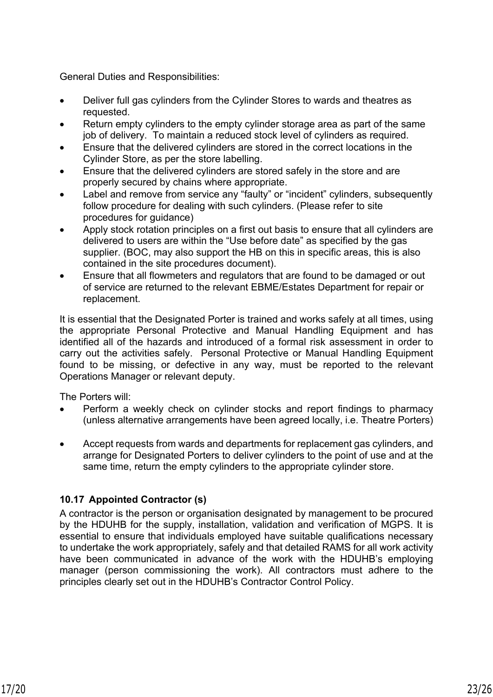General Duties and Responsibilities:

- Deliver full gas cylinders from the Cylinder Stores to wards and theatres as requested.
- Return empty cylinders to the empty cylinder storage area as part of the same job of delivery. To maintain a reduced stock level of cylinders as required.
- Ensure that the delivered cylinders are stored in the correct locations in the Cylinder Store, as per the store labelling.
- Ensure that the delivered cylinders are stored safely in the store and are properly secured by chains where appropriate.
- Label and remove from service any "faulty" or "incident" cylinders, subsequently follow procedure for dealing with such cylinders. (Please refer to site procedures for guidance)
- Apply stock rotation principles on a first out basis to ensure that all cylinders are delivered to users are within the "Use before date" as specified by the gas supplier. (BOC, may also support the HB on this in specific areas, this is also contained in the site procedures document).
- Ensure that all flowmeters and regulators that are found to be damaged or out of service are returned to the relevant EBME/Estates Department for repair or replacement.

It is essential that the Designated Porter is trained and works safely at all times, using the appropriate Personal Protective and Manual Handling Equipment and has identified all of the hazards and introduced of a formal risk assessment in order to carry out the activities safely. Personal Protective or Manual Handling Equipment found to be missing, or defective in any way, must be reported to the relevant Operations Manager or relevant deputy.

The Porters will:

- Perform a weekly check on cylinder stocks and report findings to pharmacy (unless alternative arrangements have been agreed locally, i.e. Theatre Porters)
- Accept requests from wards and departments for replacement gas cylinders, and arrange for Designated Porters to deliver cylinders to the point of use and at the same time, return the empty cylinders to the appropriate cylinder store.

# <span id="page-22-0"></span>**10.17 Appointed Contractor (s)**

A contractor is the person or organisation designated by management to be procured by the HDUHB for the supply, installation, validation and verification of MGPS. It is essential to ensure that individuals employed have suitable qualifications necessary to undertake the work appropriately, safely and that detailed RAMS for all work activity have been communicated in advance of the work with the HDUHB's employing manager (person commissioning the work). All contractors must adhere to the principles clearly set out in the HDUHB's Contractor Control Policy.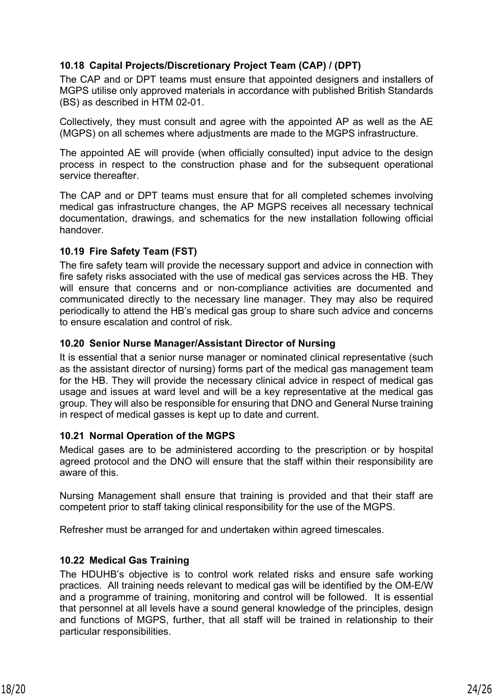# <span id="page-23-0"></span>**10.18 Capital Projects/Discretionary Project Team (CAP) / (DPT)**

The CAP and or DPT teams must ensure that appointed designers and installers of MGPS utilise only approved materials in accordance with published British Standards (BS) as described in HTM 02-01.

Collectively, they must consult and agree with the appointed AP as well as the AE (MGPS) on all schemes where adjustments are made to the MGPS infrastructure.

The appointed AE will provide (when officially consulted) input advice to the design process in respect to the construction phase and for the subsequent operational service thereafter.

The CAP and or DPT teams must ensure that for all completed schemes involving medical gas infrastructure changes, the AP MGPS receives all necessary technical documentation, drawings, and schematics for the new installation following official handover.

#### <span id="page-23-1"></span>**10.19 Fire Safety Team (FST)**

The fire safety team will provide the necessary support and advice in connection with fire safety risks associated with the use of medical gas services across the HB. They will ensure that concerns and or non-compliance activities are documented and communicated directly to the necessary line manager. They may also be required periodically to attend the HB's medical gas group to share such advice and concerns to ensure escalation and control of risk.

#### <span id="page-23-2"></span>**10.20 Senior Nurse Manager/Assistant Director of Nursing**

It is essential that a senior nurse manager or nominated clinical representative (such as the assistant director of nursing) forms part of the medical gas management team for the HB. They will provide the necessary clinical advice in respect of medical gas usage and issues at ward level and will be a key representative at the medical gas group. They will also be responsible for ensuring that DNO and General Nurse training in respect of medical gasses is kept up to date and current.

#### <span id="page-23-3"></span>**10.21 Normal Operation of the MGPS**

Medical gases are to be administered according to the prescription or by hospital agreed protocol and the DNO will ensure that the staff within their responsibility are aware of this.

Nursing Management shall ensure that training is provided and that their staff are competent prior to staff taking clinical responsibility for the use of the MGPS.

Refresher must be arranged for and undertaken within agreed timescales.

#### <span id="page-23-4"></span>**10.22 Medical Gas Training**

The HDUHB's objective is to control work related risks and ensure safe working practices. All training needs relevant to medical gas will be identified by the OM-E/W and a programme of training, monitoring and control will be followed. It is essential that personnel at all levels have a sound general knowledge of the principles, design and functions of MGPS, further, that all staff will be trained in relationship to their particular responsibilities.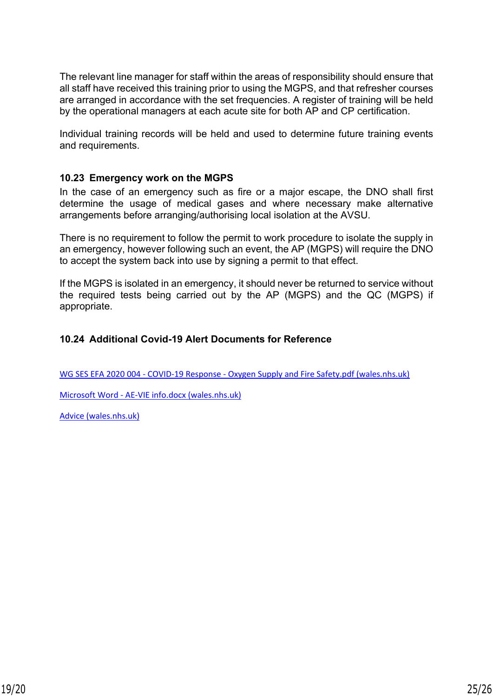The relevant line manager for staff within the areas of responsibility should ensure that all staff have received this training prior to using the MGPS, and that refresher courses are arranged in accordance with the set frequencies. A register of training will be held by the operational managers at each acute site for both AP and CP certification.

Individual training records will be held and used to determine future training events and requirements.

#### <span id="page-24-0"></span>**10.23 Emergency work on the MGPS**

In the case of an emergency such as fire or a major escape, the DNO shall first determine the usage of medical gases and where necessary make alternative arrangements before arranging/authorising local isolation at the AVSU.

There is no requirement to follow the permit to work procedure to isolate the supply in an emergency, however following such an event, the AP (MGPS) will require the DNO to accept the system back into use by signing a permit to that effect.

If the MGPS is isolated in an emergency, it should never be returned to service without the required tests being carried out by the AP (MGPS) and the QC (MGPS) if appropriate.

#### <span id="page-24-1"></span>**10.24 Additional Covid-19 Alert Documents for Reference**

[WG SES EFA 2020 004 - COVID-19 Response - Oxygen Supply and Fire Safety.pdf \(wales.nhs.uk\)](http://howis.wales.nhs.uk/sites3/Documents/254/WG%20SES%20EFA%202020%20004%20-%20COVID-19%20Response%20-%20Oxygen%20Supply%20and%20Fire%20Safety.pdf)

[Microsoft Word - AE-VIE info.docx \(wales.nhs.uk\)](http://howis.wales.nhs.uk/sites3/Documents/254/WG%20SES%20EFA%202020%20001%20-%20COVID-19%20Oxygen%20Supply%20Alert.pdf)

[Advice \(wales.nhs.uk\)](http://howis.wales.nhs.uk/sites3/Documents/254/WG%20SES%20EFA%202020%20002%20-%20Oxygen%20Usage.pdf)